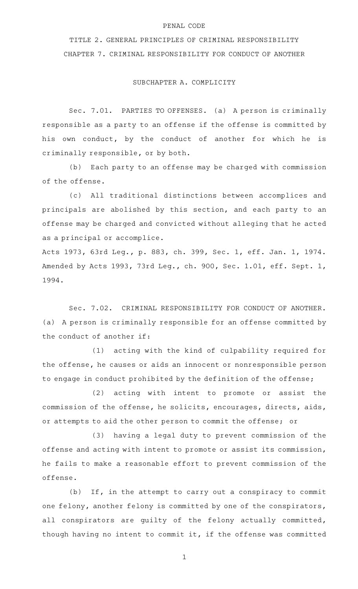#### PENAL CODE

TITLE 2. GENERAL PRINCIPLES OF CRIMINAL RESPONSIBILITY CHAPTER 7. CRIMINAL RESPONSIBILITY FOR CONDUCT OF ANOTHER

#### SUBCHAPTER A. COMPLICITY

Sec. 7.01. PARTIES TO OFFENSES. (a) A person is criminally responsible as a party to an offense if the offense is committed by his own conduct, by the conduct of another for which he is criminally responsible, or by both.

(b) Each party to an offense may be charged with commission of the offense.

(c) All traditional distinctions between accomplices and principals are abolished by this section, and each party to an offense may be charged and convicted without alleging that he acted as a principal or accomplice.

Acts 1973, 63rd Leg., p. 883, ch. 399, Sec. 1, eff. Jan. 1, 1974. Amended by Acts 1993, 73rd Leg., ch. 900, Sec. 1.01, eff. Sept. 1, 1994.

Sec. 7.02. CRIMINAL RESPONSIBILITY FOR CONDUCT OF ANOTHER. (a) A person is criminally responsible for an offense committed by the conduct of another if:

(1) acting with the kind of culpability required for the offense, he causes or aids an innocent or nonresponsible person to engage in conduct prohibited by the definition of the offense;

 $(2)$  acting with intent to promote or assist the commission of the offense, he solicits, encourages, directs, aids, or attempts to aid the other person to commit the offense; or

(3) having a legal duty to prevent commission of the offense and acting with intent to promote or assist its commission, he fails to make a reasonable effort to prevent commission of the offense.

 $(b)$  If, in the attempt to carry out a conspiracy to commit one felony, another felony is committed by one of the conspirators, all conspirators are guilty of the felony actually committed, though having no intent to commit it, if the offense was committed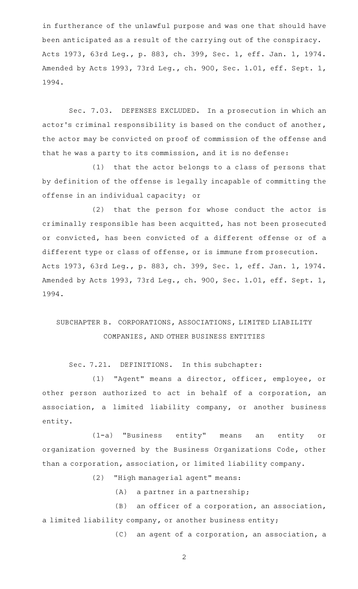in furtherance of the unlawful purpose and was one that should have been anticipated as a result of the carrying out of the conspiracy. Acts 1973, 63rd Leg., p. 883, ch. 399, Sec. 1, eff. Jan. 1, 1974. Amended by Acts 1993, 73rd Leg., ch. 900, Sec. 1.01, eff. Sept. 1, 1994.

Sec. 7.03. DEFENSES EXCLUDED. In a prosecution in which an actor 's criminal responsibility is based on the conduct of another, the actor may be convicted on proof of commission of the offense and that he was a party to its commission, and it is no defense:

 $(1)$  that the actor belongs to a class of persons that by definition of the offense is legally incapable of committing the offense in an individual capacity; or

(2) that the person for whose conduct the actor is criminally responsible has been acquitted, has not been prosecuted or convicted, has been convicted of a different offense or of a different type or class of offense, or is immune from prosecution. Acts 1973, 63rd Leg., p. 883, ch. 399, Sec. 1, eff. Jan. 1, 1974. Amended by Acts 1993, 73rd Leg., ch. 900, Sec. 1.01, eff. Sept. 1, 1994.

# SUBCHAPTER B. CORPORATIONS, ASSOCIATIONS, LIMITED LIABILITY COMPANIES, AND OTHER BUSINESS ENTITIES

Sec. 7.21. DEFINITIONS. In this subchapter:

(1) "Agent" means a director, officer, employee, or other person authorized to act in behalf of a corporation, an association, a limited liability company, or another business entity.

(1-a) "Business entity" means an entity or organization governed by the Business Organizations Code, other than a corporation, association, or limited liability company.

(2) "High managerial agent" means:

 $(A)$  a partner in a partnership;

 $(B)$  an officer of a corporation, an association, a limited liability company, or another business entity;

(C) an agent of a corporation, an association, a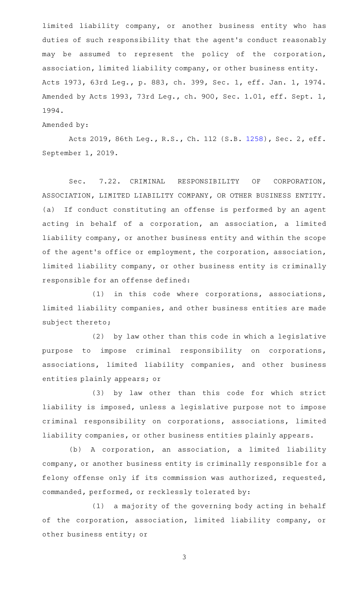limited liability company, or another business entity who has duties of such responsibility that the agent 's conduct reasonably may be assumed to represent the policy of the corporation, association, limited liability company, or other business entity. Acts 1973, 63rd Leg., p. 883, ch. 399, Sec. 1, eff. Jan. 1, 1974. Amended by Acts 1993, 73rd Leg., ch. 900, Sec. 1.01, eff. Sept. 1, 1994.

#### Amended by:

Acts 2019, 86th Leg., R.S., Ch. 112 (S.B. [1258](http://www.legis.state.tx.us/tlodocs/86R/billtext/html/SB01258F.HTM)), Sec. 2, eff. September 1, 2019.

Sec. 7.22. CRIMINAL RESPONSIBILITY OF CORPORATION, ASSOCIATION, LIMITED LIABILITY COMPANY, OR OTHER BUSINESS ENTITY. (a) If conduct constituting an offense is performed by an agent acting in behalf of a corporation, an association, a limited liability company, or another business entity and within the scope of the agent 's office or employment, the corporation, association, limited liability company, or other business entity is criminally responsible for an offense defined:

 $(1)$  in this code where corporations, associations, limited liability companies, and other business entities are made subject thereto;

(2) by law other than this code in which a legislative purpose to impose criminal responsibility on corporations, associations, limited liability companies, and other business entities plainly appears; or

(3) by law other than this code for which strict liability is imposed, unless a legislative purpose not to impose criminal responsibility on corporations, associations, limited liability companies, or other business entities plainly appears.

(b) A corporation, an association, a limited liability company, or another business entity is criminally responsible for a felony offense only if its commission was authorized, requested, commanded, performed, or recklessly tolerated by:

 $(1)$  a majority of the governing body acting in behalf of the corporation, association, limited liability company, or other business entity; or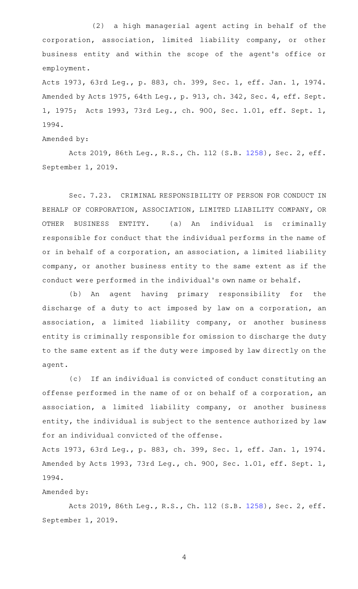(2) a high managerial agent acting in behalf of the corporation, association, limited liability company, or other business entity and within the scope of the agent 's office or employment.

Acts 1973, 63rd Leg., p. 883, ch. 399, Sec. 1, eff. Jan. 1, 1974. Amended by Acts 1975, 64th Leg., p. 913, ch. 342, Sec. 4, eff. Sept. 1, 1975; Acts 1993, 73rd Leg., ch. 900, Sec. 1.01, eff. Sept. 1, 1994.

### Amended by:

Acts 2019, 86th Leg., R.S., Ch. 112 (S.B. [1258](http://www.legis.state.tx.us/tlodocs/86R/billtext/html/SB01258F.HTM)), Sec. 2, eff. September 1, 2019.

Sec. 7.23. CRIMINAL RESPONSIBILITY OF PERSON FOR CONDUCT IN BEHALF OF CORPORATION, ASSOCIATION, LIMITED LIABILITY COMPANY, OR OTHER BUSINESS ENTITY. (a) An individual is criminally responsible for conduct that the individual performs in the name of or in behalf of a corporation, an association, a limited liability company, or another business entity to the same extent as if the conduct were performed in the individual 's own name or behalf.

(b) An agent having primary responsibility for the discharge of a duty to act imposed by law on a corporation, an association, a limited liability company, or another business entity is criminally responsible for omission to discharge the duty to the same extent as if the duty were imposed by law directly on the agent.

(c) If an individual is convicted of conduct constituting an offense performed in the name of or on behalf of a corporation, an association, a limited liability company, or another business entity, the individual is subject to the sentence authorized by law for an individual convicted of the offense.

Acts 1973, 63rd Leg., p. 883, ch. 399, Sec. 1, eff. Jan. 1, 1974. Amended by Acts 1993, 73rd Leg., ch. 900, Sec. 1.01, eff. Sept. 1, 1994.

#### Amended by:

Acts 2019, 86th Leg., R.S., Ch. 112 (S.B. [1258](http://www.legis.state.tx.us/tlodocs/86R/billtext/html/SB01258F.HTM)), Sec. 2, eff. September 1, 2019.